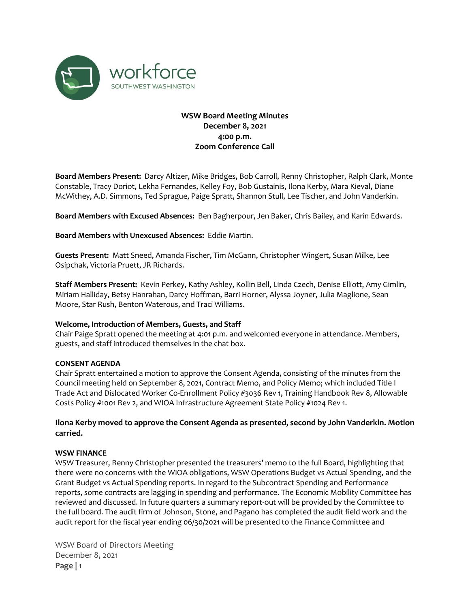

# **WSW Board Meeting Minutes December 8, 2021 4:00 p.m. Zoom Conference Call**

**Board Members Present:** Darcy Altizer, Mike Bridges, Bob Carroll, Renny Christopher, Ralph Clark, Monte Constable, Tracy Doriot, Lekha Fernandes, Kelley Foy, Bob Gustainis, Ilona Kerby, Mara Kieval, Diane McWithey, A.D. Simmons, Ted Sprague, Paige Spratt, Shannon Stull, Lee Tischer, and John Vanderkin.

**Board Members with Excused Absences:** Ben Bagherpour, Jen Baker, Chris Bailey, and Karin Edwards.

### **Board Members with Unexcused Absences:** Eddie Martin.

**Guests Present:** Matt Sneed, Amanda Fischer, Tim McGann, Christopher Wingert, Susan Milke, Lee Osipchak, Victoria Pruett, JR Richards.

**Staff Members Present:** Kevin Perkey, Kathy Ashley, Kollin Bell, Linda Czech, Denise Elliott, Amy Gimlin, Miriam Halliday, Betsy Hanrahan, Darcy Hoffman, Barri Horner, Alyssa Joyner, Julia Maglione, Sean Moore, Star Rush, Benton Waterous, and Traci Williams.

#### **Welcome, Introduction of Members, Guests, and Staff**

Chair Paige Spratt opened the meeting at 4:01 p.m. and welcomed everyone in attendance. Members, guests, and staff introduced themselves in the chat box.

## **CONSENT AGENDA**

Chair Spratt entertained a motion to approve the Consent Agenda, consisting of the minutes from the Council meeting held on September 8, 2021, Contract Memo, and Policy Memo; which included Title I Trade Act and Dislocated Worker Co-Enrollment Policy #3036 Rev 1, Training Handbook Rev 8, Allowable Costs Policy #1001 Rev 2, and WIOA Infrastructure Agreement State Policy #1024 Rev 1.

# **Ilona Kerby moved to approve the Consent Agenda as presented, second by John Vanderkin. Motion carried.**

#### **WSW FINANCE**

WSW Treasurer, Renny Christopher presented the treasurers' memo to the full Board, highlighting that there were no concerns with the WIOA obligations, WSW Operations Budget vs Actual Spending, and the Grant Budget vs Actual Spending reports. In regard to the Subcontract Spending and Performance reports, some contracts are lagging in spending and performance. The Economic Mobility Committee has reviewed and discussed. In future quarters a summary report-out will be provided by the Committee to the full board. The audit firm of Johnson, Stone, and Pagano has completed the audit field work and the audit report for the fiscal year ending 06/30/2021 will be presented to the Finance Committee and

WSW Board of Directors Meeting December 8, 2021 **Page | 1**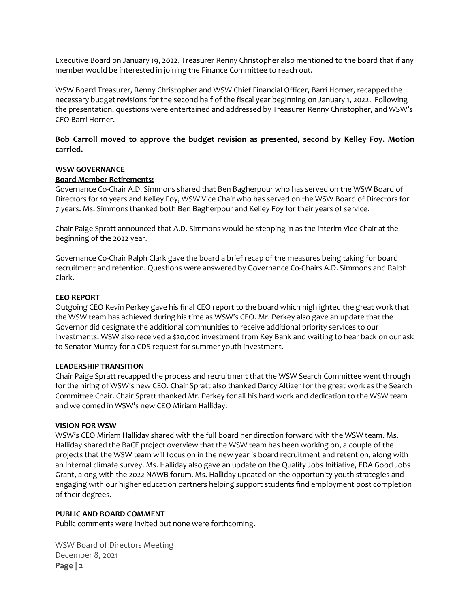Executive Board on January 19, 2022. Treasurer Renny Christopher also mentioned to the board that if any member would be interested in joining the Finance Committee to reach out.

WSW Board Treasurer, Renny Christopher and WSW Chief Financial Officer, Barri Horner, recapped the necessary budget revisions for the second half of the fiscal year beginning on January 1, 2022. Following the presentation, questions were entertained and addressed by Treasurer Renny Christopher, and WSW's CFO Barri Horner.

# **Bob Carroll moved to approve the budget revision as presented, second by Kelley Foy. Motion carried.**

## **WSW GOVERNANCE**

#### **Board Member Retirements:**

Governance Co-Chair A.D. Simmons shared that Ben Bagherpour who has served on the WSW Board of Directors for 10 years and Kelley Foy, WSW Vice Chair who has served on the WSW Board of Directors for 7 years. Ms. Simmons thanked both Ben Bagherpour and Kelley Foy for their years of service.

Chair Paige Spratt announced that A.D. Simmons would be stepping in as the interim Vice Chair at the beginning of the 2022 year.

Governance Co-Chair Ralph Clark gave the board a brief recap of the measures being taking for board recruitment and retention. Questions were answered by Governance Co-Chairs A.D. Simmons and Ralph Clark.

### **CEO REPORT**

Outgoing CEO Kevin Perkey gave his final CEO report to the board which highlighted the great work that the WSW team has achieved during his time as WSW's CEO. Mr. Perkey also gave an update that the Governor did designate the additional communities to receive additional priority services to our investments. WSW also received a \$20,000 investment from Key Bank and waiting to hear back on our ask to Senator Murray for a CDS request for summer youth investment.

#### **LEADERSHIP TRANSITION**

Chair Paige Spratt recapped the process and recruitment that the WSW Search Committee went through for the hiring of WSW's new CEO. Chair Spratt also thanked Darcy Altizer for the great work as the Search Committee Chair. Chair Spratt thanked Mr. Perkey for all his hard work and dedication to the WSW team and welcomed in WSW's new CEO Miriam Halliday.

#### **VISION FOR WSW**

WSW's CEO Miriam Halliday shared with the full board her direction forward with the WSW team. Ms. Halliday shared the BaCE project overview that the WSW team has been working on, a couple of the projects that the WSW team will focus on in the new year is board recruitment and retention, along with an internal climate survey. Ms. Halliday also gave an update on the Quality Jobs Initiative, EDA Good Jobs Grant, along with the 2022 NAWB forum. Ms. Halliday updated on the opportunity youth strategies and engaging with our higher education partners helping support students find employment post completion of their degrees.

#### **PUBLIC AND BOARD COMMENT**

Public comments were invited but none were forthcoming.

WSW Board of Directors Meeting December 8, 2021 **Page | 2**